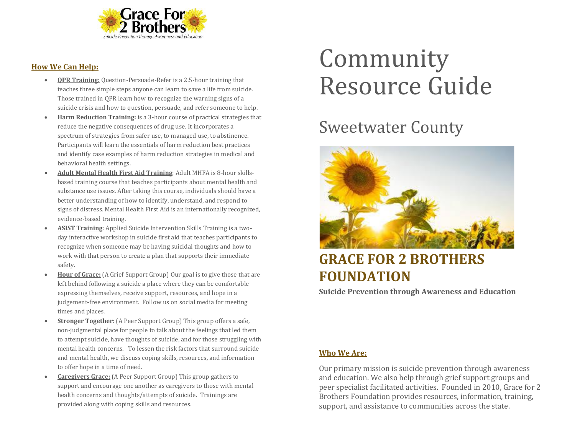

#### **How We Can Help:**

- **QPR Training:** Question-Persuade-Refer is a 2.5-hour training that teaches three simple steps anyone can learn to save a life from suicide. Those trained in QPR learn how to recognize the warning signs of a suicide crisis and how to question, persuade, and refer someone to help.
- **Harm Reduction Training:** is a 3-hour course of practical strategies that reduce the negative consequences of drug use. It incorporates a spectrum of strategies from safer use, to managed use, to abstinence. Participants will learn the essentials of harm reduction best practices and identify case examples of harm reduction strategies in medical and behavioral health settings.
- **Adult Mental Health First Aid Training**: Adult MHFA is 8-hour skillsbased training course that teaches participants about mental health and substance use issues. After taking this course, individuals should have a better understanding of how to identify, understand, and respond to signs of distress. Mental Health First Aid is an internationally recognized, evidence-based training.
- **ASIST Training**: Applied Suicide Intervention Skills Training is a twoday interactive workshop in suicide first aid that teaches participants to recognize when someone may be having suicidal thoughts and how to work with that person to create a plan that supports their immediate safety.
- **Hour of Grace:** (A Grief Support Group) Our goal is to give those that are left behind following a suicide a place where they can be comfortable expressing themselves, receive support, resources, and hope in a judgement-free environment. Follow us on social media for meeting times and places.
- **Stronger Together:** (A Peer Support Group) This group offers a safe, non-judgmental place for people to talk about the feelings that led them to attempt suicide, have thoughts of suicide, and for those struggling with mental health concerns. To lessen the risk factors that surround suicide and mental health, we discuss coping skills, resources, and information to offer hope in a time of need.
- **Caregivers Grace:** (A Peer Support Group) This group gathers to support and encourage one another as caregivers to those with mental health concerns and thoughts/attempts of suicide. Trainings are provided along with coping skills and resources.

# Community Resource Guide

## Sweetwater County



### **GRACE FOR 2 BROTHERS FOUNDATION**

**Suicide Prevention through Awareness and Education**

#### **Who We Are:**

Our primary mission is suicide prevention through awareness and education. We also help through grief support groups and peer specialist facilitated activities. Founded in 2010, Grace for 2 Brothers Foundation provides resources, information, training, support, and assistance to communities across the state.